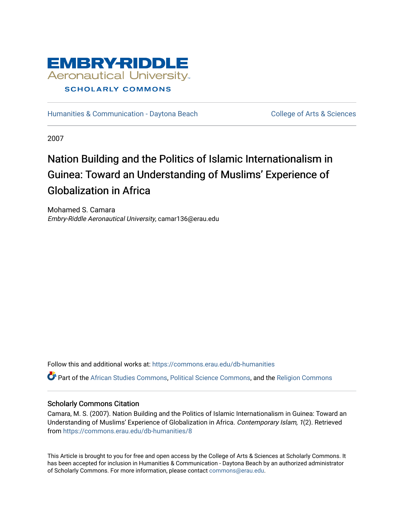

[Humanities & Communication - Daytona Beach](https://commons.erau.edu/db-humanities) College of Arts & Sciences

2007

# Nation Building and the Politics of Islamic Internationalism in Guinea: Toward an Understanding of Muslims' Experience of Globalization in Africa

Mohamed S. Camara Embry-Riddle Aeronautical University, camar136@erau.edu

Follow this and additional works at: [https://commons.erau.edu/db-humanities](https://commons.erau.edu/db-humanities?utm_source=commons.erau.edu%2Fdb-humanities%2F8&utm_medium=PDF&utm_campaign=PDFCoverPages) 

Part of the [African Studies Commons,](http://network.bepress.com/hgg/discipline/1043?utm_source=commons.erau.edu%2Fdb-humanities%2F8&utm_medium=PDF&utm_campaign=PDFCoverPages) [Political Science Commons,](http://network.bepress.com/hgg/discipline/386?utm_source=commons.erau.edu%2Fdb-humanities%2F8&utm_medium=PDF&utm_campaign=PDFCoverPages) and the [Religion Commons](http://network.bepress.com/hgg/discipline/538?utm_source=commons.erau.edu%2Fdb-humanities%2F8&utm_medium=PDF&utm_campaign=PDFCoverPages) 

# Scholarly Commons Citation

Camara, M. S. (2007). Nation Building and the Politics of Islamic Internationalism in Guinea: Toward an Understanding of Muslims' Experience of Globalization in Africa. Contemporary Islam, 1(2). Retrieved from [https://commons.erau.edu/db-humanities/8](https://commons.erau.edu/db-humanities/8?utm_source=commons.erau.edu%2Fdb-humanities%2F8&utm_medium=PDF&utm_campaign=PDFCoverPages)

This Article is brought to you for free and open access by the College of Arts & Sciences at Scholarly Commons. It has been accepted for inclusion in Humanities & Communication - Daytona Beach by an authorized administrator of Scholarly Commons. For more information, please contact [commons@erau.edu](mailto:commons@erau.edu).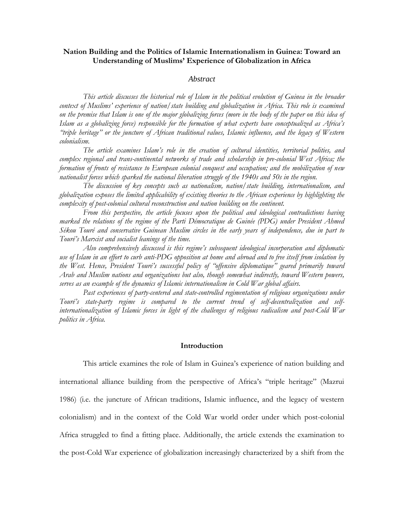# **Nation Building and the Politics of Islamic Internationalism in Guinea: Toward an Understanding of Muslims' Experience of Globalization in Africa**

### *Abstract*

*This article discusses the historical role of Islam in the political evolution of Guinea in the broader context of Muslims' experience of nation/state building and globalization in Africa. This role is examined on the premise that Islam is one of the major globalizing forces (more in the body of the paper on this idea of Islam as a globalizing force) responsible for the formation of what experts have conceptualized as Africa's "triple heritage" or the juncture of African traditional values, Islamic influence, and the legacy of Western colonialism.*

*The article examines Islam's role in the creation of cultural identities, territorial polities, and complex regional and trans-continental networks of trade and scholarship in pre-colonial West Africa; the formation of fronts of resistance to European colonial conquest and occupation; and the mobilization of new nationalist forces which sparked the national liberation struggle of the 1940s and 50s in the region.*

*The discussion of key concepts such as nationalism, nation/state building, internationalism, and globalization exposes the limited applicability of existing theories to the African experience by highlighting the complexity of post-colonial cultural reconstruction and nation building on the continent.*

*From this perspective, the article focuses upon the political and ideological contradictions having marked the relations of the regime of the Parti Démocratique de Guinée (PDG) under President Ahmed Sékou Touré and conservative Guinean Muslim circles in the early years of independence, due in part to Touré's Marxist and socialist leanings of the time.*

*Also comprehensively discussed is this regime's subsequent ideological incorporation and diplomatic use of Islam in an effort to curb anti-PDG opposition at home and abroad and to free itself from isolation by the West. Hence, President Touré's successful policy of "offensive diplomatique" geared primarily toward Arab and Muslim nations and organizations but also, though somewhat indirectly, toward Western powers, serves as an example of the dynamics of Islamic internationalism in Cold War global affairs.* 

*Past experiences of party-centered and state-controlled regimentation of religious organizations under Touré's state-party regime is compared to the current trend of self-decentralization and selfinternationalization of Islamic forces in light of the challenges of religious radicalism and post-Cold War politics in Africa.*

## **Introduction**

This article examines the role of Islam in Guinea's experience of nation building and international alliance building from the perspective of Africa's "triple heritage" (Mazrui 1986) (i.e. the juncture of African traditions, Islamic influence, and the legacy of western colonialism) and in the context of the Cold War world order under which post-colonial Africa struggled to find a fitting place. Additionally, the article extends the examination to the post-Cold War experience of globalization increasingly characterized by a shift from the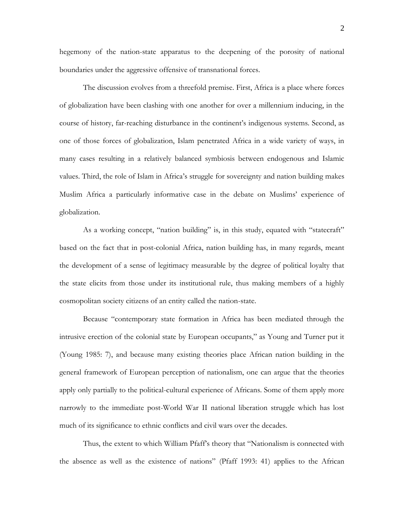hegemony of the nation-state apparatus to the deepening of the porosity of national boundaries under the aggressive offensive of transnational forces.

The discussion evolves from a threefold premise. First, Africa is a place where forces of globalization have been clashing with one another for over a millennium inducing, in the course of history, far-reaching disturbance in the continent's indigenous systems. Second, as one of those forces of globalization, Islam penetrated Africa in a wide variety of ways, in many cases resulting in a relatively balanced symbiosis between endogenous and Islamic values. Third, the role of Islam in Africa's struggle for sovereignty and nation building makes Muslim Africa a particularly informative case in the debate on Muslims' experience of globalization.

As a working concept, "nation building" is, in this study, equated with "statecraft" based on the fact that in post-colonial Africa, nation building has, in many regards, meant the development of a sense of legitimacy measurable by the degree of political loyalty that the state elicits from those under its institutional rule, thus making members of a highly cosmopolitan society citizens of an entity called the nation-state.

Because "contemporary state formation in Africa has been mediated through the intrusive erection of the colonial state by European occupants," as Young and Turner put it (Young 1985: 7), and because many existing theories place African nation building in the general framework of European perception of nationalism, one can argue that the theories apply only partially to the political-cultural experience of Africans. Some of them apply more narrowly to the immediate post-World War II national liberation struggle which has lost much of its significance to ethnic conflicts and civil wars over the decades.

Thus, the extent to which William Pfaff's theory that "Nationalism is connected with the absence as well as the existence of nations" (Pfaff 1993: 41) applies to the African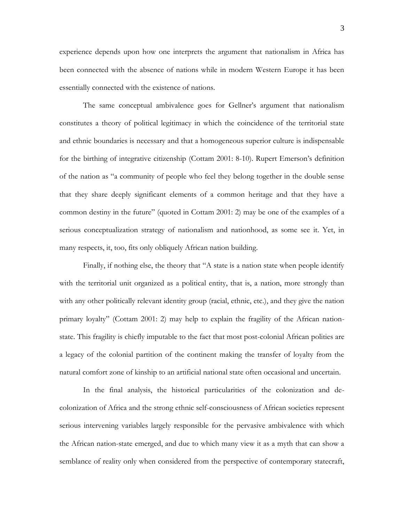experience depends upon how one interprets the argument that nationalism in Africa has been connected with the absence of nations while in modern Western Europe it has been essentially connected with the existence of nations.

The same conceptual ambivalence goes for Gellner's argument that nationalism constitutes a theory of political legitimacy in which the coincidence of the territorial state and ethnic boundaries is necessary and that a homogeneous superior culture is indispensable for the birthing of integrative citizenship (Cottam 2001: 8-10). Rupert Emerson's definition of the nation as "a community of people who feel they belong together in the double sense that they share deeply significant elements of a common heritage and that they have a common destiny in the future" (quoted in Cottam 2001: 2) may be one of the examples of a serious conceptualization strategy of nationalism and nationhood, as some see it. Yet, in many respects, it, too, fits only obliquely African nation building.

Finally, if nothing else, the theory that "A state is a nation state when people identify with the territorial unit organized as a political entity, that is, a nation, more strongly than with any other politically relevant identity group (racial, ethnic, etc.), and they give the nation primary loyalty" (Cottam 2001: 2) may help to explain the fragility of the African nationstate. This fragility is chiefly imputable to the fact that most post-colonial African polities are a legacy of the colonial partition of the continent making the transfer of loyalty from the natural comfort zone of kinship to an artificial national state often occasional and uncertain.

In the final analysis, the historical particularities of the colonization and decolonization of Africa and the strong ethnic self-consciousness of African societies represent serious intervening variables largely responsible for the pervasive ambivalence with which the African nation-state emerged, and due to which many view it as a myth that can show a semblance of reality only when considered from the perspective of contemporary statecraft,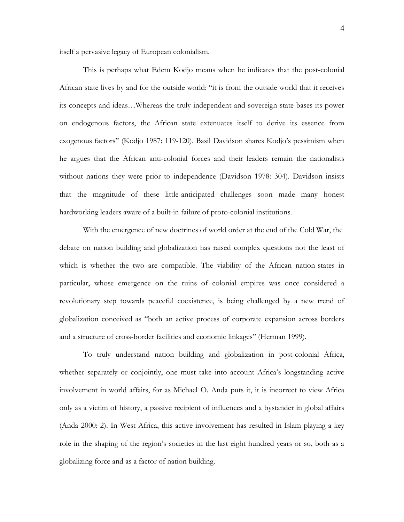itself a pervasive legacy of European colonialism.

This is perhaps what Edem Kodjo means when he indicates that the post-colonial African state lives by and for the outside world: "it is from the outside world that it receives its concepts and ideas…Whereas the truly independent and sovereign state bases its power on endogenous factors, the African state extenuates itself to derive its essence from exogenous factors" (Kodjo 1987: 119-120). Basil Davidson shares Kodjo's pessimism when he argues that the African anti-colonial forces and their leaders remain the nationalists without nations they were prior to independence (Davidson 1978: 304). Davidson insists that the magnitude of these little-anticipated challenges soon made many honest hardworking leaders aware of a built-in failure of proto-colonial institutions.

With the emergence of new doctrines of world order at the end of the Cold War, the debate on nation building and globalization has raised complex questions not the least of which is whether the two are compatible. The viability of the African nation-states in particular, whose emergence on the ruins of colonial empires was once considered a revolutionary step towards peaceful coexistence, is being challenged by a new trend of globalization conceived as "both an active process of corporate expansion across borders and a structure of cross-border facilities and economic linkages" (Herman 1999).

To truly understand nation building and globalization in post-colonial Africa, whether separately or conjointly, one must take into account Africa's longstanding active involvement in world affairs, for as Michael O. Anda puts it, it is incorrect to view Africa only as a victim of history, a passive recipient of influences and a bystander in global affairs (Anda 2000: 2). In West Africa, this active involvement has resulted in Islam playing a key role in the shaping of the region's societies in the last eight hundred years or so, both as a globalizing force and as a factor of nation building.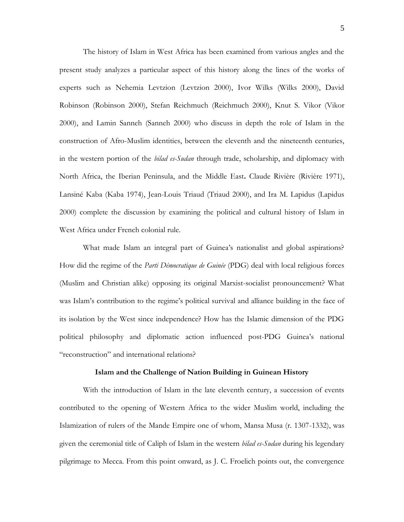The history of Islam in West Africa has been examined from various angles and the present study analyzes a particular aspect of this history along the lines of the works of experts such as Nehemia Levtzion (Levtzion 2000), Ivor Wilks (Wilks 2000), David Robinson (Robinson 2000), Stefan Reichmuch (Reichmuch 2000), Knut S. Vikor (Vikor 2000), and Lamin Sanneh (Sanneh 2000) who discuss in depth the role of Islam in the construction of Afro-Muslim identities, between the eleventh and the nineteenth centuries, in the western portion of the *bilad es-Sudan* through trade, scholarship, and diplomacy with North Africa, the Iberian Peninsula, and the Middle East**.** Claude Rivière (Rivière 1971), Lansiné Kaba (Kaba 1974), Jean-Louis Triaud (Triaud 2000), and Ira M. Lapidus (Lapidus 2000) complete the discussion by examining the political and cultural history of Islam in West Africa under French colonial rule.

What made Islam an integral part of Guinea's nationalist and global aspirations? How did the regime of the *Parti Démocratique de Guinée* (PDG) deal with local religious forces (Muslim and Christian alike) opposing its original Marxist-socialist pronouncement? What was Islam's contribution to the regime's political survival and alliance building in the face of its isolation by the West since independence? How has the Islamic dimension of the PDG political philosophy and diplomatic action influenced post-PDG Guinea's national "reconstruction" and international relations?

#### **Islam and the Challenge of Nation Building in Guinean History**

With the introduction of Islam in the late eleventh century, a succession of events contributed to the opening of Western Africa to the wider Muslim world, including the Islamization of rulers of the Mande Empire one of whom, Mansa Musa (r. 1307-1332), was given the ceremonial title of Caliph of Islam in the western *bilad es-Sudan* during his legendary pilgrimage to Mecca. From this point onward, as J. C. Froelich points out, the convergence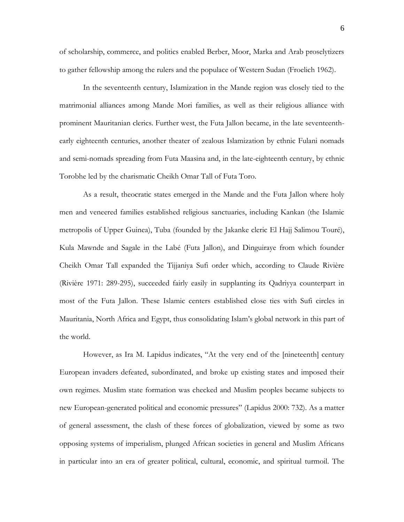of scholarship, commerce, and politics enabled Berber, Moor, Marka and Arab proselytizers to gather fellowship among the rulers and the populace of Western Sudan (Froelich 1962).

In the seventeenth century, Islamization in the Mande region was closely tied to the matrimonial alliances among Mande Mori families, as well as their religious alliance with prominent Mauritanian clerics. Further west, the Futa Jallon became, in the late seventeenthearly eighteenth centuries, another theater of zealous Islamization by ethnic Fulani nomads and semi-nomads spreading from Futa Maasina and, in the late-eighteenth century, by ethnic Torobhe led by the charismatic Cheikh Omar Tall of Futa Toro.

As a result, theocratic states emerged in the Mande and the Futa Jallon where holy men and veneered families established religious sanctuaries, including Kankan (the Islamic metropolis of Upper Guinea), Tuba (founded by the Jakanke cleric El Hajj Salimou Touré), Kula Mawnde and Sagale in the Labé (Futa Jallon), and Dinguiraye from which founder Cheikh Omar Tall expanded the Tijjaniya Sufi order which, according to Claude Rivière (Rivière 1971: 289-295), succeeded fairly easily in supplanting its Qadriyya counterpart in most of the Futa Jallon. These Islamic centers established close ties with Sufi circles in Mauritania, North Africa and Egypt, thus consolidating Islam's global network in this part of the world.

However, as Ira M. Lapidus indicates, "At the very end of the [nineteenth] century European invaders defeated, subordinated, and broke up existing states and imposed their own regimes. Muslim state formation was checked and Muslim peoples became subjects to new European-generated political and economic pressures" (Lapidus 2000: 732). As a matter of general assessment, the clash of these forces of globalization, viewed by some as two opposing systems of imperialism, plunged African societies in general and Muslim Africans in particular into an era of greater political, cultural, economic, and spiritual turmoil. The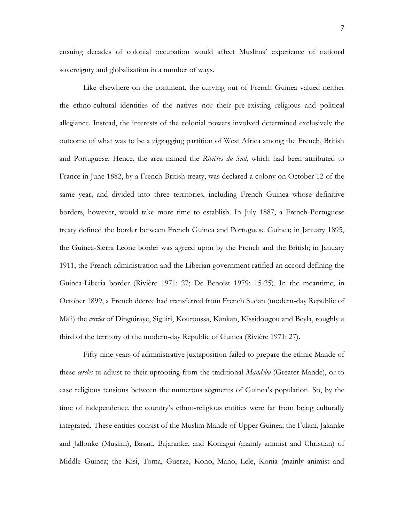ensuing decades of colonial occupation would affect Muslims' experience of national sovereignty and globalization in a number of ways.

Like elsewhere on the continent, the curving out of French Guinea valued neither the ethno-cultural identities of the natives nor their pre-existing religious and political allegiance. Instead, the interests of the colonial powers involved determined exclusively the outcome of what was to be a zigzagging partition of West Africa among the French, British and Portuguese. Hence, the area named the *Rivières du Sud*, which had been attributed to France in June 1882, by a French-British treaty, was declared a colony on October 12 of the same year, and divided into three territories, including French Guinea whose definitive borders, however, would take more time to establish. In July 1887, a French-Portuguese treaty defined the border between French Guinea and Portuguese Guinea; in January 1895, the Guinea-Sierra Leone border was agreed upon by the French and the British; in January 1911, the French administration and the Liberian government ratified an accord defining the Guinea-Liberia border (Rivière 1971: 27; De Benoist 1979: 15-25). In the meantime, in October 1899, a French decree had transferred from French Sudan (modern-day Republic of Mali) the *cercles* of Dinguiraye, Siguiri, Kouroussa, Kankan, Kissidougou and Beyla, roughly a third of the territory of the modern-day Republic of Guinea (Rivière 1971: 27).

Fifty-nine years of administrative juxtaposition failed to prepare the ethnic Mande of these *cercles* to adjust to their uprooting from the traditional *Mandeba* (Greater Mande), or to ease religious tensions between the numerous segments of Guinea's population. So, by the time of independence, the country's ethno-religious entities were far from being culturally integrated. These entities consist of the Muslim Mande of Upper Guinea; the Fulani, Jakanke and Jallonke (Muslim), Basari, Bajaranke, and Koniagui (mainly animist and Christian) of Middle Guinea; the Kisi, Toma, Guerze, Kono, Mano, Lele, Konia (mainly animist and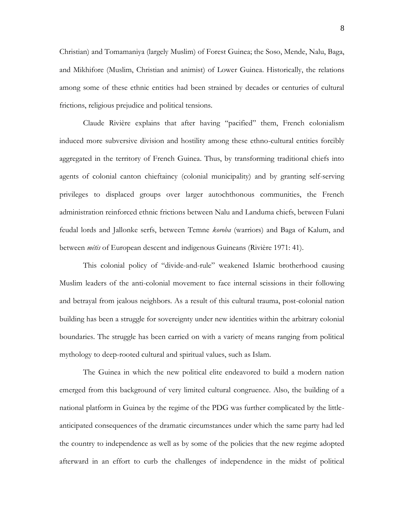Christian) and Tomamaniya (largely Muslim) of Forest Guinea; the Soso, Mende, Nalu, Baga, and Mikhifore (Muslim, Christian and animist) of Lower Guinea. Historically, the relations among some of these ethnic entities had been strained by decades or centuries of cultural frictions, religious prejudice and political tensions.

Claude Rivière explains that after having "pacified" them, French colonialism induced more subversive division and hostility among these ethno-cultural entities forcibly aggregated in the territory of French Guinea. Thus, by transforming traditional chiefs into agents of colonial canton chieftaincy (colonial municipality) and by granting self-serving privileges to displaced groups over larger autochthonous communities, the French administration reinforced ethnic frictions between Nalu and Landuma chiefs, between Fulani feudal lords and Jallonke serfs, between Temne *koroba* (warriors) and Baga of Kalum, and between *métis* of European descent and indigenous Guineans (Rivière 1971: 41).

This colonial policy of "divide-and-rule" weakened Islamic brotherhood causing Muslim leaders of the anti-colonial movement to face internal scissions in their following and betrayal from jealous neighbors. As a result of this cultural trauma, post-colonial nation building has been a struggle for sovereignty under new identities within the arbitrary colonial boundaries. The struggle has been carried on with a variety of means ranging from political mythology to deep-rooted cultural and spiritual values, such as Islam.

The Guinea in which the new political elite endeavored to build a modern nation emerged from this background of very limited cultural congruence. Also, the building of a national platform in Guinea by the regime of the PDG was further complicated by the littleanticipated consequences of the dramatic circumstances under which the same party had led the country to independence as well as by some of the policies that the new regime adopted afterward in an effort to curb the challenges of independence in the midst of political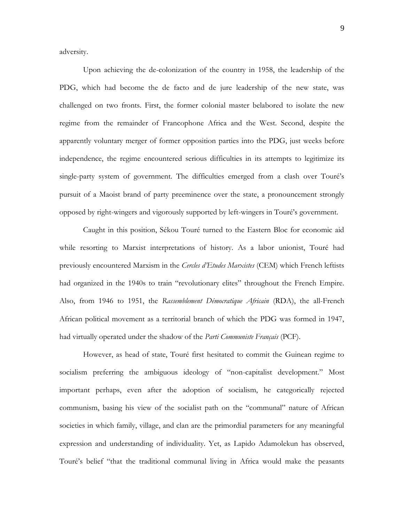adversity.

Upon achieving the de-colonization of the country in 1958, the leadership of the PDG, which had become the de facto and de jure leadership of the new state, was challenged on two fronts. First, the former colonial master belabored to isolate the new regime from the remainder of Francophone Africa and the West. Second, despite the apparently voluntary merger of former opposition parties into the PDG, just weeks before independence, the regime encountered serious difficulties in its attempts to legitimize its single-party system of government. The difficulties emerged from a clash over Touré's pursuit of a Maoist brand of party preeminence over the state, a pronouncement strongly opposed by right-wingers and vigorously supported by left-wingers in Touré's government.

Caught in this position, Sékou Touré turned to the Eastern Bloc for economic aid while resorting to Marxist interpretations of history. As a labor unionist, Touré had previously encountered Marxism in the *Cercles d'Etudes Marxistes* (CEM) which French leftists had organized in the 1940s to train "revolutionary elites" throughout the French Empire. Also, from 1946 to 1951, the *Rassemblement Démocratique Africain* (RDA), the all-French African political movement as a territorial branch of which the PDG was formed in 1947, had virtually operated under the shadow of the *Parti Communiste Français* (PCF).

However, as head of state, Touré first hesitated to commit the Guinean regime to socialism preferring the ambiguous ideology of "non-capitalist development." Most important perhaps, even after the adoption of socialism, he categorically rejected communism, basing his view of the socialist path on the "communal" nature of African societies in which family, village, and clan are the primordial parameters for any meaningful expression and understanding of individuality. Yet, as Lapido Adamolekun has observed, Touré's belief "that the traditional communal living in Africa would make the peasants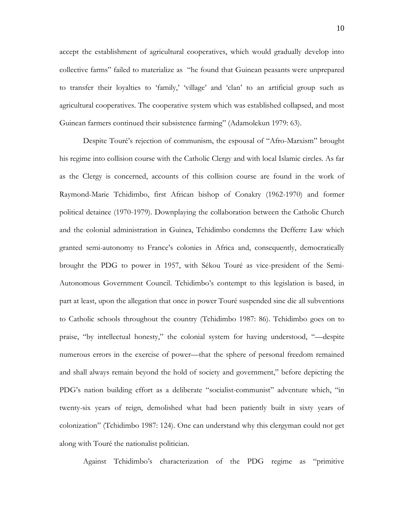accept the establishment of agricultural cooperatives, which would gradually develop into collective farms" failed to materialize as "he found that Guinean peasants were unprepared to transfer their loyalties to 'family,' 'village' and 'clan' to an artificial group such as agricultural cooperatives. The cooperative system which was established collapsed, and most Guinean farmers continued their subsistence farming" (Adamolekun 1979: 63).

Despite Touré's rejection of communism, the espousal of "Afro-Marxism" brought his regime into collision course with the Catholic Clergy and with local Islamic circles. As far as the Clergy is concerned, accounts of this collision course are found in the work of Raymond-Marie Tchidimbo, first African bishop of Conakry (1962-1970) and former political detainee (1970-1979). Downplaying the collaboration between the Catholic Church and the colonial administration in Guinea, Tchidimbo condemns the Defferre Law which granted semi-autonomy to France's colonies in Africa and, consequently, democratically brought the PDG to power in 1957, with Sékou Touré as vice-president of the Semi-Autonomous Government Council. Tchidimbo's contempt to this legislation is based, in part at least, upon the allegation that once in power Touré suspended sine die all subventions to Catholic schools throughout the country (Tchidimbo 1987: 86). Tchidimbo goes on to praise, "by intellectual honesty," the colonial system for having understood, "—despite numerous errors in the exercise of power—that the sphere of personal freedom remained and shall always remain beyond the hold of society and government," before depicting the PDG's nation building effort as a deliberate "socialist-communist" adventure which, "in twenty-six years of reign, demolished what had been patiently built in sixty years of colonization" (Tchidimbo 1987: 124). One can understand why this clergyman could not get along with Touré the nationalist politician.

Against Tchidimbo's characterization of the PDG regime as "primitive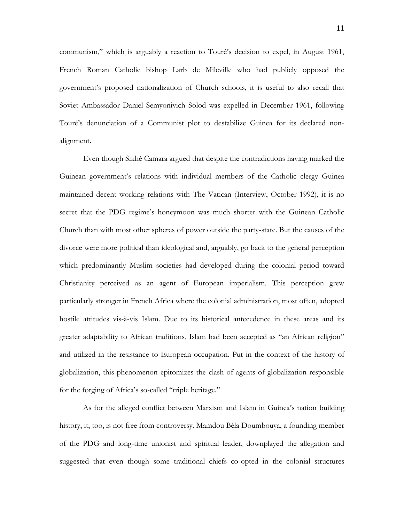communism," which is arguably a reaction to Touré's decision to expel, in August 1961, French Roman Catholic bishop Larb de Mileville who had publicly opposed the government's proposed nationalization of Church schools, it is useful to also recall that Soviet Ambassador Daniel Semyonivich Solod was expelled in December 1961, following Touré's denunciation of a Communist plot to destabilize Guinea for its declared nonalignment.

Even though Sikhé Camara argued that despite the contradictions having marked the Guinean government's relations with individual members of the Catholic clergy Guinea maintained decent working relations with The Vatican (Interview, October 1992), it is no secret that the PDG regime's honeymoon was much shorter with the Guinean Catholic Church than with most other spheres of power outside the party-state. But the causes of the divorce were more political than ideological and, arguably, go back to the general perception which predominantly Muslim societies had developed during the colonial period toward Christianity perceived as an agent of European imperialism. This perception grew particularly stronger in French Africa where the colonial administration, most often, adopted hostile attitudes vis-à-vis Islam. Due to its historical antecedence in these areas and its greater adaptability to African traditions, Islam had been accepted as "an African religion" and utilized in the resistance to European occupation. Put in the context of the history of globalization, this phenomenon epitomizes the clash of agents of globalization responsible for the forging of Africa's so-called "triple heritage."

As for the alleged conflict between Marxism and Islam in Guinea's nation building history, it, too, is not free from controversy. Mamdou Béla Doumbouya, a founding member of the PDG and long-time unionist and spiritual leader, downplayed the allegation and suggested that even though some traditional chiefs co-opted in the colonial structures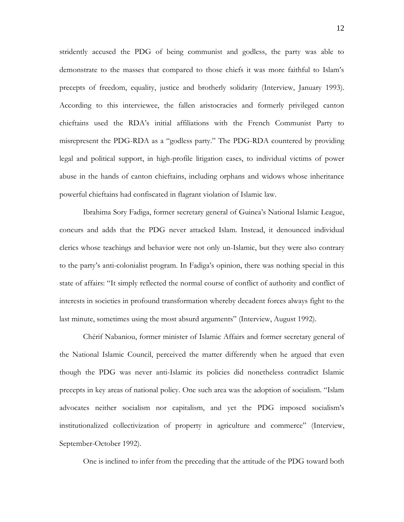stridently accused the PDG of being communist and godless, the party was able to demonstrate to the masses that compared to those chiefs it was more faithful to Islam's precepts of freedom, equality, justice and brotherly solidarity (Interview, January 1993). According to this interviewee, the fallen aristocracies and formerly privileged canton chieftains used the RDA's initial affiliations with the French Communist Party to misrepresent the PDG-RDA as a "godless party." The PDG-RDA countered by providing legal and political support, in high-profile litigation cases, to individual victims of power abuse in the hands of canton chieftains, including orphans and widows whose inheritance powerful chieftains had confiscated in flagrant violation of Islamic law.

Ibrahima Sory Fadiga, former secretary general of Guinea's National Islamic League, concurs and adds that the PDG never attacked Islam. Instead, it denounced individual clerics whose teachings and behavior were not only un-Islamic, but they were also contrary to the party's anti-colonialist program. In Fadiga's opinion, there was nothing special in this state of affairs: "It simply reflected the normal course of conflict of authority and conflict of interests in societies in profound transformation whereby decadent forces always fight to the last minute, sometimes using the most absurd arguments" (Interview, August 1992).

Chérif Nabaniou, former minister of Islamic Affairs and former secretary general of the National Islamic Council, perceived the matter differently when he argued that even though the PDG was never anti-Islamic its policies did nonetheless contradict Islamic precepts in key areas of national policy. One such area was the adoption of socialism. "Islam advocates neither socialism nor capitalism, and yet the PDG imposed socialism's institutionalized collectivization of property in agriculture and commerce" (Interview, September-October 1992).

One is inclined to infer from the preceding that the attitude of the PDG toward both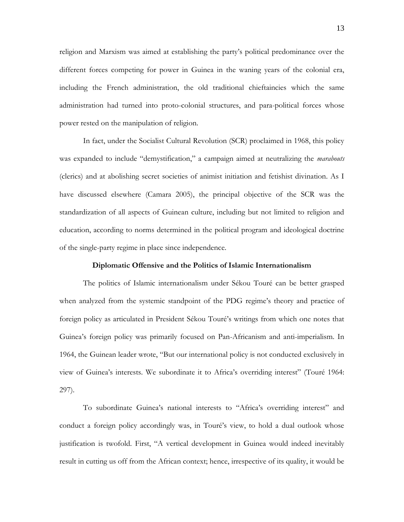religion and Marxism was aimed at establishing the party's political predominance over the different forces competing for power in Guinea in the waning years of the colonial era, including the French administration, the old traditional chieftaincies which the same administration had turned into proto-colonial structures, and para-political forces whose power rested on the manipulation of religion.

In fact, under the Socialist Cultural Revolution (SCR) proclaimed in 1968, this policy was expanded to include "demystification," a campaign aimed at neutralizing the *marabouts* (clerics) and at abolishing secret societies of animist initiation and fetishist divination. As I have discussed elsewhere (Camara 2005), the principal objective of the SCR was the standardization of all aspects of Guinean culture, including but not limited to religion and education, according to norms determined in the political program and ideological doctrine of the single-party regime in place since independence.

## **Diplomatic Offensive and the Politics of Islamic Internationalism**

The politics of Islamic internationalism under Sékou Touré can be better grasped when analyzed from the systemic standpoint of the PDG regime's theory and practice of foreign policy as articulated in President Sékou Touré's writings from which one notes that Guinea's foreign policy was primarily focused on Pan-Africanism and anti-imperialism. In 1964, the Guinean leader wrote, "But our international policy is not conducted exclusively in view of Guinea's interests. We subordinate it to Africa's overriding interest" (Touré 1964: 297).

To subordinate Guinea's national interests to "Africa's overriding interest" and conduct a foreign policy accordingly was, in Touré's view, to hold a dual outlook whose justification is twofold. First, "A vertical development in Guinea would indeed inevitably result in cutting us off from the African context; hence, irrespective of its quality, it would be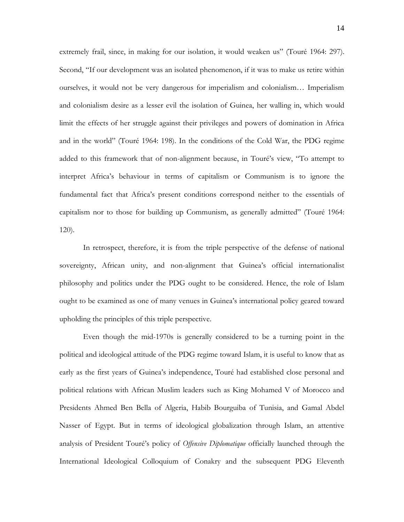extremely frail, since, in making for our isolation, it would weaken us" (Touré 1964: 297). Second, "If our development was an isolated phenomenon, if it was to make us retire within ourselves, it would not be very dangerous for imperialism and colonialism… Imperialism and colonialism desire as a lesser evil the isolation of Guinea, her walling in, which would limit the effects of her struggle against their privileges and powers of domination in Africa and in the world" (Touré 1964: 198). In the conditions of the Cold War, the PDG regime added to this framework that of non-alignment because, in Touré's view, "To attempt to interpret Africa's behaviour in terms of capitalism or Communism is to ignore the fundamental fact that Africa's present conditions correspond neither to the essentials of capitalism nor to those for building up Communism, as generally admitted" (Touré 1964: 120).

In retrospect, therefore, it is from the triple perspective of the defense of national sovereignty, African unity, and non-alignment that Guinea's official internationalist philosophy and politics under the PDG ought to be considered. Hence, the role of Islam ought to be examined as one of many venues in Guinea's international policy geared toward upholding the principles of this triple perspective.

Even though the mid-1970s is generally considered to be a turning point in the political and ideological attitude of the PDG regime toward Islam, it is useful to know that as early as the first years of Guinea's independence, Touré had established close personal and political relations with African Muslim leaders such as King Mohamed V of Morocco and Presidents Ahmed Ben Bella of Algeria, Habib Bourguiba of Tunisia, and Gamal Abdel Nasser of Egypt. But in terms of ideological globalization through Islam, an attentive analysis of President Touré's policy of *Offensive Diplomatique* officially launched through the International Ideological Colloquium of Conakry and the subsequent PDG Eleventh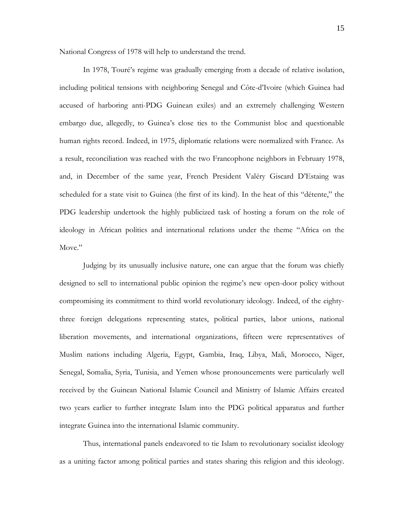National Congress of 1978 will help to understand the trend.

In 1978, Touré's regime was gradually emerging from a decade of relative isolation, including political tensions with neighboring Senegal and Côte-d'Ivoire (which Guinea had accused of harboring anti-PDG Guinean exiles) and an extremely challenging Western embargo due, allegedly, to Guinea's close ties to the Communist bloc and questionable human rights record. Indeed, in 1975, diplomatic relations were normalized with France. As a result, reconciliation was reached with the two Francophone neighbors in February 1978, and, in December of the same year, French President Valéry Giscard D'Estaing was scheduled for a state visit to Guinea (the first of its kind). In the heat of this "détente," the PDG leadership undertook the highly publicized task of hosting a forum on the role of ideology in African politics and international relations under the theme "Africa on the Move."

Judging by its unusually inclusive nature, one can argue that the forum was chiefly designed to sell to international public opinion the regime's new open-door policy without compromising its commitment to third world revolutionary ideology. Indeed, of the eightythree foreign delegations representing states, political parties, labor unions, national liberation movements, and international organizations, fifteen were representatives of Muslim nations including Algeria, Egypt, Gambia, Iraq, Libya, Mali, Morocco, Niger, Senegal, Somalia, Syria, Tunisia, and Yemen whose pronouncements were particularly well received by the Guinean National Islamic Council and Ministry of Islamic Affairs created two years earlier to further integrate Islam into the PDG political apparatus and further integrate Guinea into the international Islamic community.

Thus, international panels endeavored to tie Islam to revolutionary socialist ideology as a uniting factor among political parties and states sharing this religion and this ideology.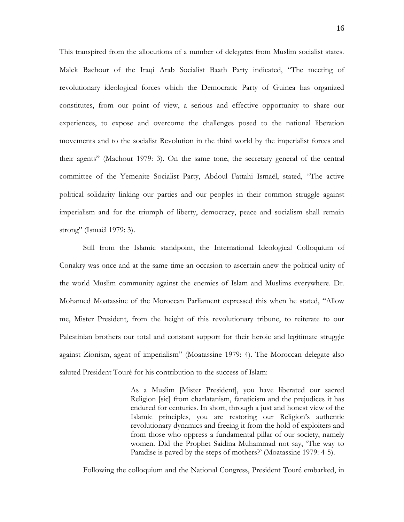This transpired from the allocutions of a number of delegates from Muslim socialist states. Malek Bachour of the Iraqi Arab Socialist Baath Party indicated, "The meeting of revolutionary ideological forces which the Democratic Party of Guinea has organized constitutes, from our point of view, a serious and effective opportunity to share our experiences, to expose and overcome the challenges posed to the national liberation movements and to the socialist Revolution in the third world by the imperialist forces and their agents" (Machour 1979: 3). On the same tone, the secretary general of the central committee of the Yemenite Socialist Party, Abdoul Fattahi Ismaël, stated, "The active political solidarity linking our parties and our peoples in their common struggle against imperialism and for the triumph of liberty, democracy, peace and socialism shall remain strong" (Ismaël 1979: 3).

Still from the Islamic standpoint, the International Ideological Colloquium of Conakry was once and at the same time an occasion to ascertain anew the political unity of the world Muslim community against the enemies of Islam and Muslims everywhere. Dr. Mohamed Moatassine of the Moroccan Parliament expressed this when he stated, "Allow me, Mister President, from the height of this revolutionary tribune, to reiterate to our Palestinian brothers our total and constant support for their heroic and legitimate struggle against Zionism, agent of imperialism" (Moatassine 1979: 4). The Moroccan delegate also saluted President Touré for his contribution to the success of Islam:

> As a Muslim [Mister President], you have liberated our sacred Religion [sic] from charlatanism, fanaticism and the prejudices it has endured for centuries. In short, through a just and honest view of the Islamic principles, you are restoring our Religion's authentic revolutionary dynamics and freeing it from the hold of exploiters and from those who oppress a fundamental pillar of our society, namely women. Did the Prophet Saidina Muhammad not say, 'The way to Paradise is paved by the steps of mothers?' (Moatassine 1979: 4-5).

Following the colloquium and the National Congress, President Touré embarked, in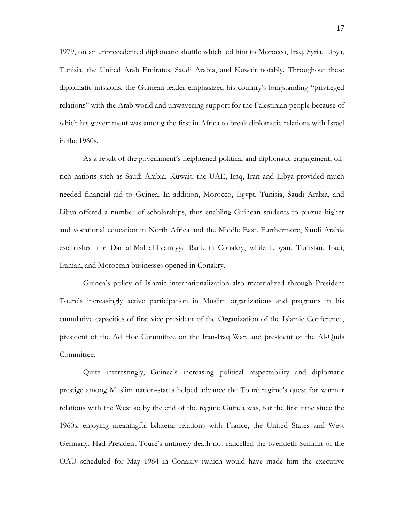1979, on an unprecedented diplomatic shuttle which led him to Morocco, Iraq, Syria, Libya, Tunisia, the United Arab Emirates, Saudi Arabia, and Kuwait notably. Throughout these diplomatic missions, the Guinean leader emphasized his country's longstanding "privileged relations" with the Arab world and unwavering support for the Palestinian people because of which his government was among the first in Africa to break diplomatic relations with Israel in the 1960s.

As a result of the government's heightened political and diplomatic engagement, oilrich nations such as Saudi Arabia, Kuwait, the UAE, Iraq, Iran and Libya provided much needed financial aid to Guinea. In addition, Morocco, Egypt, Tunisia, Saudi Arabia, and Libya offered a number of scholarships, thus enabling Guinean students to pursue higher and vocational education in North Africa and the Middle East. Furthermore, Saudi Arabia established the Dar al-Mal al-Islamiyya Bank in Conakry, while Libyan, Tunisian, Iraqi, Iranian, and Moroccan businesses opened in Conakry.

Guinea's policy of Islamic internationalization also materialized through President Touré's increasingly active participation in Muslim organizations and programs in his cumulative capacities of first vice president of the Organization of the Islamic Conference, president of the Ad Hoc Committee on the Iran-Iraq War, and president of the Al-Quds Committee.

Quite interestingly, Guinea's increasing political respectability and diplomatic prestige among Muslim nation-states helped advance the Touré regime's quest for warmer relations with the West so by the end of the regime Guinea was, for the first time since the 1960s, enjoying meaningful bilateral relations with France, the United States and West Germany. Had President Touré's untimely death not cancelled the twentieth Summit of the OAU scheduled for May 1984 in Conakry (which would have made him the executive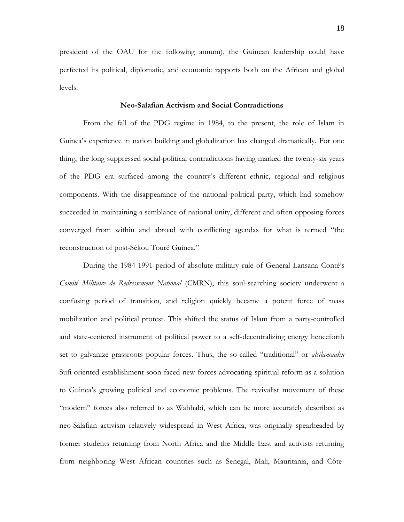president of the OAU for the following annum), the Guinean leadership could have perfected its political, diplomatic, and economic rapports both on the African and global levels.

## **Neo-Salafian Activism and Social Contradictions**

From the fall of the PDG regime in 1984, to the present, the role of Islam in Guinea's experience in nation building and globalization has changed dramatically. For one thing, the long suppressed social-political contradictions having marked the twenty-six years of the PDG era surfaced among the country's different ethnic, regional and religious components. With the disappearance of the national political party, which had somehow succeeded in maintaining a semblance of national unity, different and often opposing forces converged from within and abroad with conflicting agendas for what is termed "the reconstruction of post-Sékou Touré Guinea."

During the 1984-1991 period of absolute military rule of General Lansana Conté's *Comité Militaire de Redressement National* (CMRN), this soul-searching society underwent a confusing period of transition, and religion quickly became a potent force of mass mobilization and political protest. This shifted the status of Islam from a party-controlled and state-centered instrument of political power to a self-decentralizing energy henceforth set to galvanize grassroots popular forces. Thus, the so-called "traditional" or *alsilamaaku* Sufi-oriented establishment soon faced new forces advocating spiritual reform as a solution to Guinea's growing political and economic problems. The revivalist movement of these "modern" forces also referred to as Wahhabi, which can be more accurately described as neo-Salafian activism relatively widespread in West Africa, was originally spearheaded by former students returning from North Africa and the Middle East and activists returning from neighboring West African countries such as Senegal, Mali, Mauritania, and Côte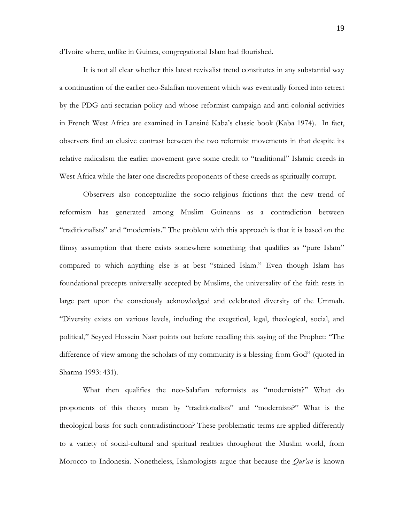d'Ivoire where, unlike in Guinea, congregational Islam had flourished.

It is not all clear whether this latest revivalist trend constitutes in any substantial way a continuation of the earlier neo-Salafian movement which was eventually forced into retreat by the PDG anti-sectarian policy and whose reformist campaign and anti-colonial activities in French West Africa are examined in Lansiné Kaba's classic book (Kaba 1974). In fact, observers find an elusive contrast between the two reformist movements in that despite its relative radicalism the earlier movement gave some credit to "traditional" Islamic creeds in West Africa while the later one discredits proponents of these creeds as spiritually corrupt.

Observers also conceptualize the socio-religious frictions that the new trend of reformism has generated among Muslim Guineans as a contradiction between "traditionalists" and "modernists." The problem with this approach is that it is based on the flimsy assumption that there exists somewhere something that qualifies as "pure Islam" compared to which anything else is at best "stained Islam." Even though Islam has foundational precepts universally accepted by Muslims, the universality of the faith rests in large part upon the consciously acknowledged and celebrated diversity of the Ummah. "Diversity exists on various levels, including the exegetical, legal, theological, social, and political," Seyyed Hossein Nasr points out before recalling this saying of the Prophet: "The difference of view among the scholars of my community is a blessing from God" (quoted in Sharma 1993: 431).

What then qualifies the neo-Salafian reformists as "modernists?" What do proponents of this theory mean by "traditionalists" and "modernists?" What is the theological basis for such contradistinction? These problematic terms are applied differently to a variety of social-cultural and spiritual realities throughout the Muslim world, from Morocco to Indonesia. Nonetheless, Islamologists argue that because the *Qur'an* is known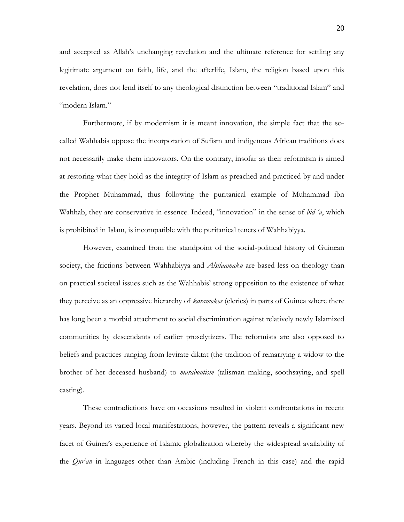and accepted as Allah's unchanging revelation and the ultimate reference for settling any legitimate argument on faith, life, and the afterlife, Islam, the religion based upon this revelation, does not lend itself to any theological distinction between "traditional Islam" and "modern Islam."

Furthermore, if by modernism it is meant innovation, the simple fact that the socalled Wahhabis oppose the incorporation of Sufism and indigenous African traditions does not necessarily make them innovators. On the contrary, insofar as their reformism is aimed at restoring what they hold as the integrity of Islam as preached and practiced by and under the Prophet Muhammad, thus following the puritanical example of Muhammad ibn Wahhab, they are conservative in essence. Indeed, "innovation" in the sense of *bid 'a*, which is prohibited in Islam, is incompatible with the puritanical tenets of Wahhabiyya.

However, examined from the standpoint of the social-political history of Guinean society, the frictions between Wahhabiyya and *Alsilaamaku* are based less on theology than on practical societal issues such as the Wahhabis' strong opposition to the existence of what they perceive as an oppressive hierarchy of *karamokos* (clerics) in parts of Guinea where there has long been a morbid attachment to social discrimination against relatively newly Islamized communities by descendants of earlier proselytizers. The reformists are also opposed to beliefs and practices ranging from levirate diktat (the tradition of remarrying a widow to the brother of her deceased husband) to *maraboutism* (talisman making, soothsaying, and spell casting).

These contradictions have on occasions resulted in violent confrontations in recent years. Beyond its varied local manifestations, however, the pattern reveals a significant new facet of Guinea's experience of Islamic globalization whereby the widespread availability of the *Qur'an* in languages other than Arabic (including French in this case) and the rapid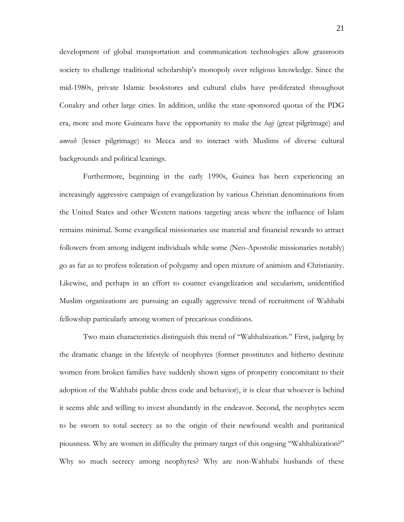development of global transportation and communication technologies allow grassroots society to challenge traditional scholarship's monopoly over religious knowledge. Since the mid-1980s, private Islamic bookstores and cultural clubs have proliferated throughout Conakry and other large cities. In addition, unlike the state-sponsored quotas of the PDG era, more and more Guineans have the opportunity to make the *hajj* (great pilgrimage) and *umrah* (lesser pilgrimage) to Mecca and to interact with Muslims of diverse cultural backgrounds and political leanings.

Furthermore, beginning in the early 1990s, Guinea has been experiencing an increasingly aggressive campaign of evangelization by various Christian denominations from the United States and other Western nations targeting areas where the influence of Islam remains minimal. Some evangelical missionaries use material and financial rewards to attract followers from among indigent individuals while some (Neo-Apostolic missionaries notably) go as far as to profess toleration of polygamy and open mixture of animism and Christianity. Likewise, and perhaps in an effort to counter evangelization and secularism, unidentified Muslim organizations are pursuing an equally aggressive trend of recruitment of Wahhabi fellowship particularly among women of precarious conditions.

Two main characteristics distinguish this trend of "Wahhabization." First, judging by the dramatic change in the lifestyle of neophytes (former prostitutes and hitherto destitute women from broken families have suddenly shown signs of prosperity concomitant to their adoption of the Wahhabi public dress code and behavior), it is clear that whoever is behind it seems able and willing to invest abundantly in the endeavor. Second, the neophytes seem to be sworn to total secrecy as to the origin of their newfound wealth and puritanical piousness. Why are women in difficulty the primary target of this ongoing "Wahhabization?" Why so much secrecy among neophytes? Why are non-Wahhabi husbands of these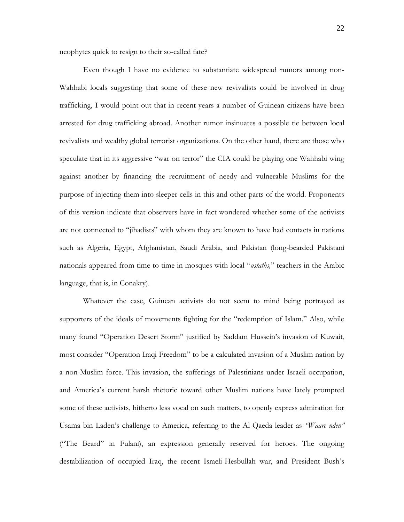neophytes quick to resign to their so-called fate?

Even though I have no evidence to substantiate widespread rumors among non-Wahhabi locals suggesting that some of these new revivalists could be involved in drug trafficking, I would point out that in recent years a number of Guinean citizens have been arrested for drug trafficking abroad. Another rumor insinuates a possible tie between local revivalists and wealthy global terrorist organizations. On the other hand, there are those who speculate that in its aggressive "war on terror" the CIA could be playing one Wahhabi wing against another by financing the recruitment of needy and vulnerable Muslims for the purpose of injecting them into sleeper cells in this and other parts of the world. Proponents of this version indicate that observers have in fact wondered whether some of the activists are not connected to "jihadists" with whom they are known to have had contacts in nations such as Algeria, Egypt, Afghanistan, Saudi Arabia, and Pakistan (long-bearded Pakistani nationals appeared from time to time in mosques with local "*ustaths,*" teachers in the Arabic language, that is, in Conakry).

Whatever the case, Guinean activists do not seem to mind being portrayed as supporters of the ideals of movements fighting for the "redemption of Islam." Also, while many found "Operation Desert Storm" justified by Saddam Hussein's invasion of Kuwait, most consider "Operation Iraqi Freedom" to be a calculated invasion of a Muslim nation by a non-Muslim force. This invasion, the sufferings of Palestinians under Israeli occupation, and America's current harsh rhetoric toward other Muslim nations have lately prompted some of these activists, hitherto less vocal on such matters, to openly express admiration for Usama bin Laden's challenge to America, referring to the Al-Qaeda leader as *"Waare nden"* ("The Beard" in Fulani), an expression generally reserved for heroes. The ongoing destabilization of occupied Iraq, the recent Israeli-Hesbullah war, and President Bush's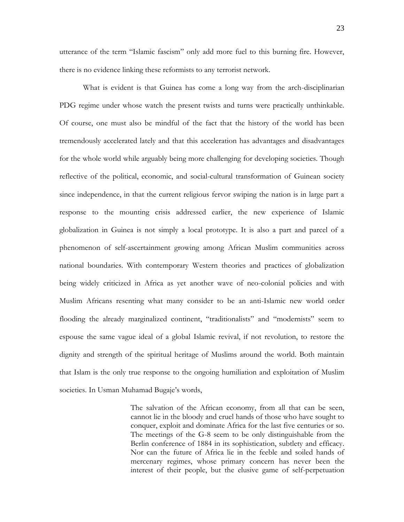23

utterance of the term "Islamic fascism" only add more fuel to this burning fire. However, there is no evidence linking these reformists to any terrorist network.

What is evident is that Guinea has come a long way from the arch-disciplinarian PDG regime under whose watch the present twists and turns were practically unthinkable. Of course, one must also be mindful of the fact that the history of the world has been tremendously accelerated lately and that this acceleration has advantages and disadvantages for the whole world while arguably being more challenging for developing societies. Though reflective of the political, economic, and social-cultural transformation of Guinean society since independence, in that the current religious fervor swiping the nation is in large part a response to the mounting crisis addressed earlier, the new experience of Islamic globalization in Guinea is not simply a local prototype. It is also a part and parcel of a phenomenon of self-ascertainment growing among African Muslim communities across national boundaries. With contemporary Western theories and practices of globalization being widely criticized in Africa as yet another wave of neo-colonial policies and with Muslim Africans resenting what many consider to be an anti-Islamic new world order flooding the already marginalized continent, "traditionalists" and "modernists" seem to espouse the same vague ideal of a global Islamic revival, if not revolution, to restore the dignity and strength of the spiritual heritage of Muslims around the world. Both maintain that Islam is the only true response to the ongoing humiliation and exploitation of Muslim societies. In Usman Muhamad Bugaje's words,

> The salvation of the African economy, from all that can be seen, cannot lie in the bloody and cruel hands of those who have sought to conquer, exploit and dominate Africa for the last five centuries or so. The meetings of the G-8 seem to be only distinguishable from the Berlin conference of 1884 in its sophistication, subtlety and efficacy. Nor can the future of Africa lie in the feeble and soiled hands of mercenary regimes, whose primary concern has never been the interest of their people, but the elusive game of self-perpetuation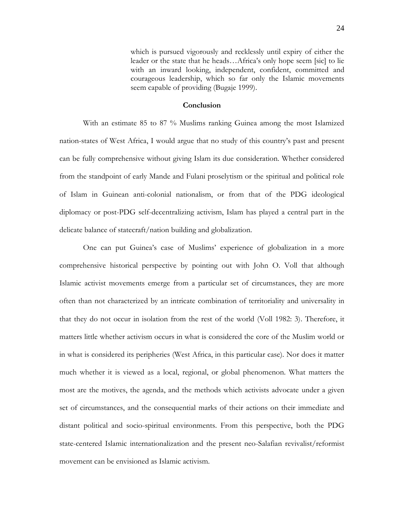which is pursued vigorously and recklessly until expiry of either the leader or the state that he heads…Africa's only hope seem [sic] to lie with an inward looking, independent, confident, committed and courageous leadership, which so far only the Islamic movements seem capable of providing (Bugaje 1999).

## **Conclusion**

With an estimate 85 to 87 % Muslims ranking Guinea among the most Islamized nation-states of West Africa, I would argue that no study of this country's past and present can be fully comprehensive without giving Islam its due consideration. Whether considered from the standpoint of early Mande and Fulani proselytism or the spiritual and political role of Islam in Guinean anti-colonial nationalism, or from that of the PDG ideological diplomacy or post-PDG self-decentralizing activism, Islam has played a central part in the delicate balance of statecraft/nation building and globalization.

One can put Guinea's case of Muslims' experience of globalization in a more comprehensive historical perspective by pointing out with John O. Voll that although Islamic activist movements emerge from a particular set of circumstances, they are more often than not characterized by an intricate combination of territoriality and universality in that they do not occur in isolation from the rest of the world (Voll 1982: 3). Therefore, it matters little whether activism occurs in what is considered the core of the Muslim world or in what is considered its peripheries (West Africa, in this particular case). Nor does it matter much whether it is viewed as a local, regional, or global phenomenon. What matters the most are the motives, the agenda, and the methods which activists advocate under a given set of circumstances, and the consequential marks of their actions on their immediate and distant political and socio-spiritual environments. From this perspective, both the PDG state-centered Islamic internationalization and the present neo-Salafian revivalist/reformist movement can be envisioned as Islamic activism.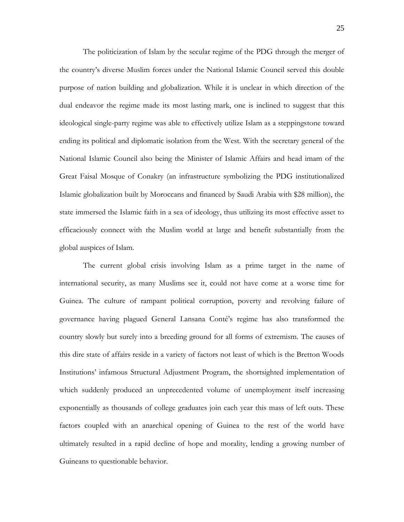The politicization of Islam by the secular regime of the PDG through the merger of the country's diverse Muslim forces under the National Islamic Council served this double purpose of nation building and globalization. While it is unclear in which direction of the dual endeavor the regime made its most lasting mark, one is inclined to suggest that this ideological single-party regime was able to effectively utilize Islam as a steppingstone toward ending its political and diplomatic isolation from the West. With the secretary general of the National Islamic Council also being the Minister of Islamic Affairs and head imam of the Great Faisal Mosque of Conakry (an infrastructure symbolizing the PDG institutionalized Islamic globalization built by Moroccans and financed by Saudi Arabia with \$28 million), the state immersed the Islamic faith in a sea of ideology, thus utilizing its most effective asset to efficaciously connect with the Muslim world at large and benefit substantially from the global auspices of Islam.

The current global crisis involving Islam as a prime target in the name of international security, as many Muslims see it, could not have come at a worse time for Guinea. The culture of rampant political corruption, poverty and revolving failure of governance having plagued General Lansana Conté's regime has also transformed the country slowly but surely into a breeding ground for all forms of extremism. The causes of this dire state of affairs reside in a variety of factors not least of which is the Bretton Woods Institutions' infamous Structural Adjustment Program, the shortsighted implementation of which suddenly produced an unprecedented volume of unemployment itself increasing exponentially as thousands of college graduates join each year this mass of left outs. These factors coupled with an anarchical opening of Guinea to the rest of the world have ultimately resulted in a rapid decline of hope and morality, lending a growing number of Guineans to questionable behavior.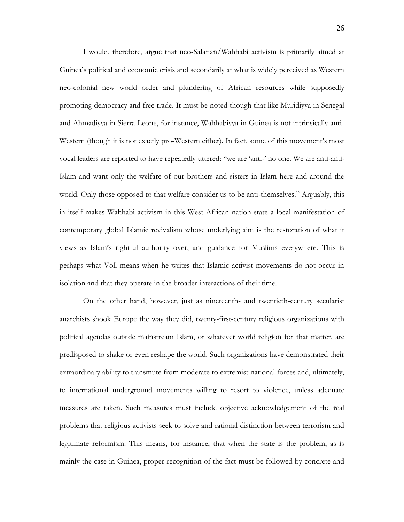I would, therefore, argue that neo-Salafian/Wahhabi activism is primarily aimed at Guinea's political and economic crisis and secondarily at what is widely perceived as Western neo-colonial new world order and plundering of African resources while supposedly promoting democracy and free trade. It must be noted though that like Muridiyya in Senegal and Ahmadiyya in Sierra Leone, for instance, Wahhabiyya in Guinea is not intrinsically anti-Western (though it is not exactly pro-Western either). In fact, some of this movement's most vocal leaders are reported to have repeatedly uttered: "we are 'anti-' no one. We are anti-anti-Islam and want only the welfare of our brothers and sisters in Islam here and around the world. Only those opposed to that welfare consider us to be anti-themselves." Arguably, this in itself makes Wahhabi activism in this West African nation-state a local manifestation of contemporary global Islamic revivalism whose underlying aim is the restoration of what it views as Islam's rightful authority over, and guidance for Muslims everywhere. This is perhaps what Voll means when he writes that Islamic activist movements do not occur in isolation and that they operate in the broader interactions of their time.

On the other hand, however, just as nineteenth- and twentieth-century secularist anarchists shook Europe the way they did, twenty-first-century religious organizations with political agendas outside mainstream Islam, or whatever world religion for that matter, are predisposed to shake or even reshape the world. Such organizations have demonstrated their extraordinary ability to transmute from moderate to extremist national forces and, ultimately, to international underground movements willing to resort to violence, unless adequate measures are taken. Such measures must include objective acknowledgement of the real problems that religious activists seek to solve and rational distinction between terrorism and legitimate reformism. This means, for instance, that when the state is the problem, as is mainly the case in Guinea, proper recognition of the fact must be followed by concrete and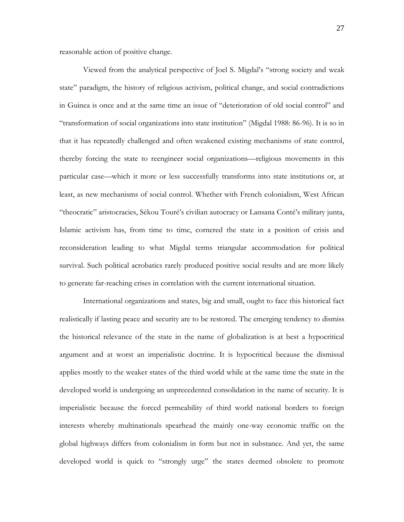reasonable action of positive change.

Viewed from the analytical perspective of Joel S. Migdal's "strong society and weak state" paradigm, the history of religious activism, political change, and social contradictions in Guinea is once and at the same time an issue of "deterioration of old social control" and "transformation of social organizations into state institution" (Migdal 1988: 86-96). It is so in that it has repeatedly challenged and often weakened existing mechanisms of state control, thereby forcing the state to reengineer social organizations—religious movements in this particular case—which it more or less successfully transforms into state institutions or, at least, as new mechanisms of social control. Whether with French colonialism, West African "theocratic" aristocracies, Sékou Touré's civilian autocracy or Lansana Conté's military junta, Islamic activism has, from time to time, cornered the state in a position of crisis and reconsideration leading to what Migdal terms triangular accommodation for political survival. Such political acrobatics rarely produced positive social results and are more likely to generate far-reaching crises in correlation with the current international situation.

International organizations and states, big and small, ought to face this historical fact realistically if lasting peace and security are to be restored. The emerging tendency to dismiss the historical relevance of the state in the name of globalization is at best a hypocritical argument and at worst an imperialistic doctrine. It is hypocritical because the dismissal applies mostly to the weaker states of the third world while at the same time the state in the developed world is undergoing an unprecedented consolidation in the name of security. It is imperialistic because the forced permeability of third world national borders to foreign interests whereby multinationals spearhead the mainly one-way economic traffic on the global highways differs from colonialism in form but not in substance. And yet, the same developed world is quick to "strongly urge" the states deemed obsolete to promote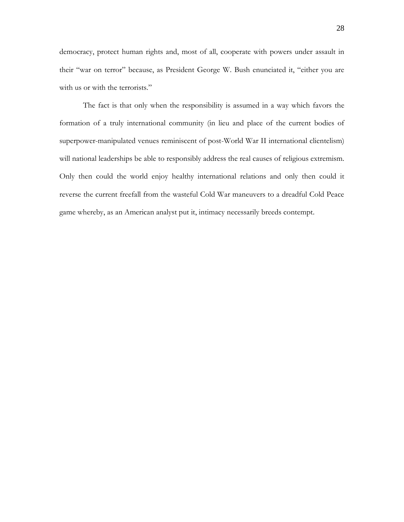democracy, protect human rights and, most of all, cooperate with powers under assault in their "war on terror" because, as President George W. Bush enunciated it, "either you are with us or with the terrorists."

The fact is that only when the responsibility is assumed in a way which favors the formation of a truly international community (in lieu and place of the current bodies of superpower-manipulated venues reminiscent of post-World War II international clientelism) will national leaderships be able to responsibly address the real causes of religious extremism. Only then could the world enjoy healthy international relations and only then could it reverse the current freefall from the wasteful Cold War maneuvers to a dreadful Cold Peace game whereby, as an American analyst put it, intimacy necessarily breeds contempt.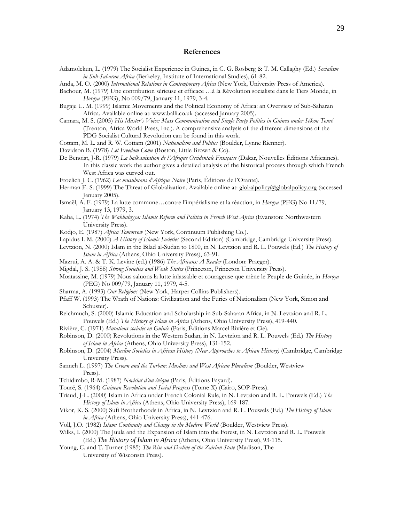#### **References**

Adamolekun, L. (1979) The Socialist Experience in Guinea, in C. G. Rosberg & T. M. Callaghy (Ed.) *Socialism in Sub-Saharan Africa* (Berkeley, Institute of International Studies), 61-82.

Anda, M. O. (2000) *International Relations in Contemporary Africa* (New York, University Press of America).

- Bachour, M. (1979) Une contribution sérieuse et efficace …à la Révolution socialiste dans le Tiers Monde, in *Horoya* (PEG), No 009/79, January 11, 1979, 3-4.
- Bugaje U. M. (1999) Islamic Movements and the Political Economy of Africa: an Overview of Sub-Saharan Africa. Available online at: [www.balli.co.uk](http://www.balli.co.uk/) (accessed January 2005).
- Camara, M. S. (2005) *His Master's Voice: Mass Communication and Single Party Politics in Guinea under Sékou Touré*  (Trenton, Africa World Press, Inc.). A comprehensive analysis of the different dimensions of the PDG Socialist Cultural Revolution can be found in this work.
- Cottam, M. L. and R. W. Cottam (2001) *Nationalism and Politics* (Boulder, Lynne Rienner).
- Davidson B. (1978) *Let Freedom Come* (Boston, Little Brown & Co).
- De Benoist, J-R. (1979) *La balkanisation de l'Afrique Occidentale Française* (Dakar, Nouvelles Éditions Africaines). In this classic work the author gives a detailed analysis of the historical process through which French West Africa was curved out.
- Froelich J. C. (1962) *Les musulmans d'Afrique Noire* (Paris, Éditions de l'Orante).
- Herman E. S. (1999) The Threat of Globalization. Available online at: [globalpolicy@globalpolicy.org](mailto:globalpolicy@globalpolicy.org) (accessed January 2005).
- Ismaël, A. F. (1979) La lutte commune…contre l'impérialisme et la réaction, in *Horoya* (PEG) No 11/79, January 13, 1979, 3.
- Kaba, L. (1974) *The Wahhabiyya: Islamic Reform and Politics in French West Africa* (Evanston: Northwestern University Press).
- Kodjo, E. (1987) *Africa Tomorrow* (New York, Continuum Publishing Co.).
- Lapidus I. M. (2000) *A History of Islamic Societies* (Second Edition) (Cambridge, Cambridge University Press).
- Levtzion, N. (2000) Islam in the Bilad al-Sudan to 1800, in N. Levtzion and R. L. Pouwels (Ed.) *The History of Islam in Africa* (Athens, Ohio University Press), 63-91.
- Mazrui, A. A. & T. K. Levine (ed.) (1986) *The Africans: A Reader* (London: Praeger).
- Migdal, J. S. (1988) *Strong Societies and Weak States* (Princeton, Princeton University Press).
- Moatassine, M. (1979) Nous saluons la lutte inlassable et courageuse que mène le Peuple de Guinée, in *Horoya* (PEG) No 009/79, January 11, 1979, 4-5.
- Sharma, A. (1993) *Our Religions* (New York, Harper Collins Publishers).
- Pfaff W. (1993) The Wrath of Nations: Civilization and the Furies of Nationalism (New York, Simon and Schuster).
- Reichmuch, S. (2000) Islamic Education and Scholarship in Sub-Saharan Africa, in N. Levtzion and R. L. Pouwels (Ed.) *The History of Islam in Africa* (Athens, Ohio University Press), 419-440.
- Rivière, C. (1971) *Mutations sociales en Guinée* (Paris, Éditions Marcel Rivière et Cie).
- Robinson, D. (2000) Revolutions in the Western Sudan, in N. Levtzion and R. L. Pouwels (Ed.) *The History of Islam in Africa* (Athens, Ohio University Press), 131-152.
- Robinson, D. (2004) *Muslim Societies in African History (New Approaches to African History)* (Cambridge, Cambridge University Press).
- Sanneh L. (1997) *The Crown and the Turban: Muslims and West African Pluralism* (Boulder, Westview Press).
- Tchidimbo, R-M. (1987) *Noviciat d'un évêque* (Paris, Éditions Fayard).
- Touré, S. (1964) *Guinean Revolution and Social Progress* (Tome X) (Cairo, SOP-Press).
- Triaud, J-L. (2000) Islam in Africa under French Colonial Rule, in N. Levtzion and R. L. Pouwels (Ed.) *The History of Islam in Africa* (Athens, Ohio University Press), 169-187.
- Vikor, K. S. (2000) Sufi Brotherhoods in Africa, in N. Levtzion and R. L. Pouwels (Ed.) *The History of Islam in Africa* (Athens, Ohio University Press), 441-476.
- Voll, J.O. (1982) *Islam: Continuity and Change in the Modern World* (Boulder, Westview Press).
- Wilks, I. (2000) The Juula and the Expansion of Islam into the Forest, in N. Levtzion and R. L. Pouwels (Ed.) *The History of Islam in Africa* (Athens, Ohio University Press), 93-115.
- Young, C. and T. Turner (1985) *The Rise and Decline of the Zairian State* (Madison, The University of Wisconsin Press).